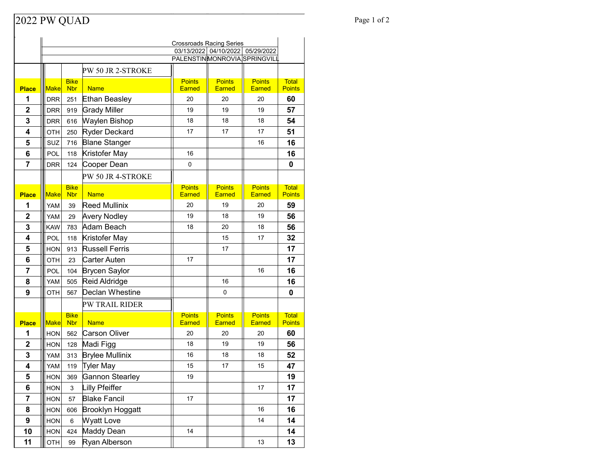## Page 1 of 2

|                  | <b>Crossroads Racing Series</b>                                     |                           |                         |                                |                                |                                |                               |  |  |
|------------------|---------------------------------------------------------------------|---------------------------|-------------------------|--------------------------------|--------------------------------|--------------------------------|-------------------------------|--|--|
|                  | 03/13/2022 04/10/2022<br>05/29/2022<br>PALENSTINMONROVIA SPRINGVILL |                           |                         |                                |                                |                                |                               |  |  |
|                  |                                                                     |                           |                         |                                |                                |                                |                               |  |  |
|                  |                                                                     |                           | PW 50 JR 2-STROKE       |                                |                                |                                |                               |  |  |
| <b>Place</b>     | <b>Make</b>                                                         | <b>Bike</b><br><b>Nbr</b> | <b>Name</b>             | <b>Points</b><br><b>Earned</b> | <b>Points</b><br>Earned        | <b>Points</b><br><b>Earned</b> | <b>Total</b><br><b>Points</b> |  |  |
| 1                | <b>DRR</b>                                                          | 251                       | <b>Ethan Beasley</b>    | 20                             | 20                             | 20                             | 60                            |  |  |
| $\mathbf 2$      | <b>DRR</b>                                                          | 919                       | <b>Grady Miller</b>     | 19                             | 19                             | 19                             | 57                            |  |  |
| 3                | <b>DRR</b>                                                          | 616                       | Waylen Bishop           | 18                             | 18                             | 18                             | 54                            |  |  |
| 4                | OTH                                                                 | 250                       | Ryder Deckard           | 17                             | 17                             | 17                             | 51                            |  |  |
| 5                | SUZ                                                                 | 716                       | <b>Blane Stanger</b>    |                                |                                | 16                             | 16                            |  |  |
| 6                | POL                                                                 | 118                       | Kristofer May           | 16                             |                                |                                | 16                            |  |  |
| 7                | <b>DRR</b>                                                          | 124                       | Cooper Dean             | $\pmb{0}$                      |                                |                                | 0                             |  |  |
|                  |                                                                     |                           | PW 50 JR 4-STROKE       |                                |                                |                                |                               |  |  |
| <b>Place</b>     | <b>Make</b>                                                         | <b>Bike</b><br><b>Nbr</b> | <b>Name</b>             | <b>Points</b><br><b>Earned</b> | <b>Points</b><br>Earned        | <b>Points</b><br><b>Earned</b> | <b>Total</b><br><b>Points</b> |  |  |
| 1                | <b>YAM</b>                                                          | 39                        | <b>Reed Mullinix</b>    | 20                             | 19                             | 20                             | 59                            |  |  |
| $\mathbf{2}$     | <b>YAM</b>                                                          | 29                        | <b>Avery Nodley</b>     | 19                             | 18                             | 19                             | 56                            |  |  |
| 3                | <b>KAW</b>                                                          | 783                       | Adam Beach              | 18                             | 20                             | 18                             | 56                            |  |  |
| 4                | POL                                                                 | 118                       | Kristofer May           |                                | 15                             | 17                             | 32                            |  |  |
| 5                | <b>HON</b>                                                          | 913                       | <b>Russell Ferris</b>   |                                | 17                             |                                | 17                            |  |  |
| 6                | OTH                                                                 | 23                        | Carter Auten            | 17                             |                                |                                | 17                            |  |  |
| 7                | POL                                                                 | 104                       | <b>Brycen Saylor</b>    |                                |                                | 16                             | 16                            |  |  |
| 8                | <b>YAM</b>                                                          | 505                       | Reid Aldridge           |                                | 16                             |                                | 16                            |  |  |
| 9                | <b>OTH</b>                                                          | 567                       | Declan Whestine         |                                | 0                              |                                | 0                             |  |  |
|                  |                                                                     |                           | PW TRAIL RIDER          |                                |                                |                                |                               |  |  |
| <b>Place</b>     | Make                                                                | <b>Bike</b><br><b>Nbr</b> | <b>Name</b>             | <b>Points</b><br><b>Earned</b> | <b>Points</b><br><b>Earned</b> | <b>Points</b><br><b>Earned</b> | <b>Total</b><br><b>Points</b> |  |  |
| 1                | <b>HON</b>                                                          | 562                       | <b>Carson Oliver</b>    | 20                             | 20                             | 20                             | 60                            |  |  |
| $\mathbf{2}$     | <b>HON</b>                                                          | 128                       | Madi Figg               | 18                             | 19                             | 19                             | 56                            |  |  |
| 3                | <b>YAM</b>                                                          | 313                       | <b>Brylee Mullinix</b>  | 16                             | 18                             | 18                             | 52                            |  |  |
| 4                | YAM                                                                 | 119                       | Tyler May               | 15                             | 17                             | 15                             | 47                            |  |  |
| 5                | <b>HON</b>                                                          | 369                       | <b>Gannon Stearley</b>  | 19                             |                                |                                | 19                            |  |  |
| 6                | HON                                                                 | 3                         | Lilly Pfeiffer          |                                |                                | 17                             | 17                            |  |  |
| 7                | HON                                                                 | 57                        | <b>Blake Fancil</b>     | 17                             |                                |                                | 17                            |  |  |
| 8                | HON                                                                 | 606                       | <b>Brooklyn Hoggatt</b> |                                |                                | 16                             | 16                            |  |  |
| $\boldsymbol{9}$ | HON                                                                 | 6                         | <b>Wyatt Love</b>       |                                |                                | 14                             | 14                            |  |  |
| 10               | <b>HON</b>                                                          | 424                       | Maddy Dean              | 14                             |                                |                                | 14                            |  |  |
| 11               | OTH                                                                 | 99                        | Ryan Alberson           |                                |                                | 13                             | 13                            |  |  |